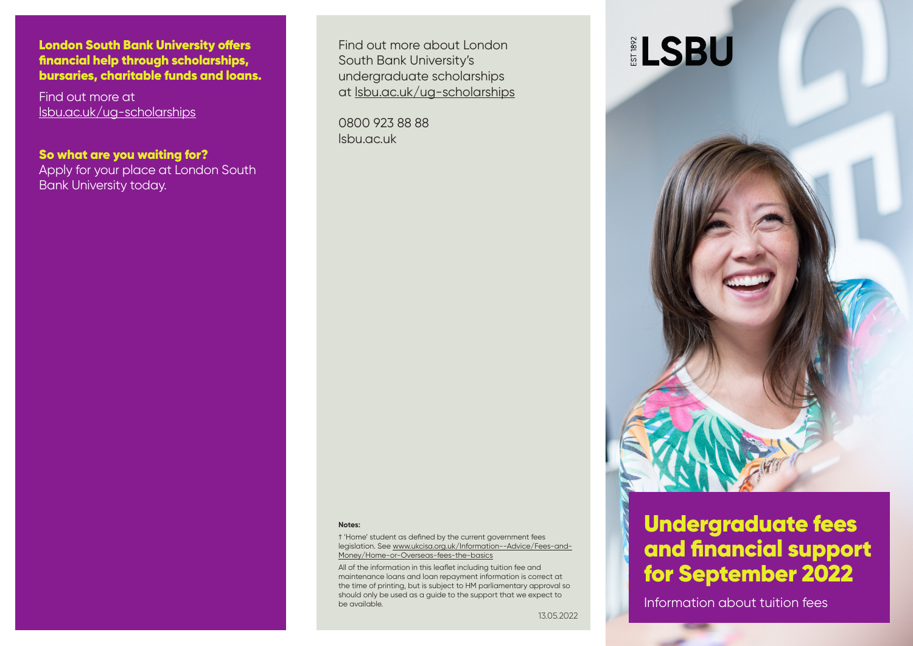London South Bank University offers financial help through scholarships, bursaries, charitable funds and loans.

Find out more at [lsbu.ac.uk/ug-scholarships](http://www.lsbu.ac.uk/courses/undergraduate/fees-and-funding/scholarships)

So what are you waiting for? Apply for your place at London South Bank University today.

Find out more about London South Bank University's undergraduate scholarships at [lsbu.ac.uk/ug-scholarships](http://www.lsbu.ac.uk/courses/undergraduate/fees-and-funding/scholarships)

0800 923 88 88 [lsbu.ac.uk](http://www.lsbu.ac.uk)

# **ELSBU**



† 'Home' student as defined by the current government fees legislation. See [www.ukcisa.org.uk/Information--Advice/Fees-and-](https://www.ukcisa.org.uk/Information--Advice/Fees-and-Money/Home-or-Overseas-fees-the-basics)[Money/Home-or-Overseas-fees-the-basics](https://www.ukcisa.org.uk/Information--Advice/Fees-and-Money/Home-or-Overseas-fees-the-basics)

All of the information in this leaflet including tuition fee and maintenance loans and loan repayment information is correct at the time of printing, but is subject to HM parliamentary approval so should only be used as a guide to the support that we expect to be available.

13.05.2022



# Undergraduate fees and financial support for September 2022

Information about tuition fees